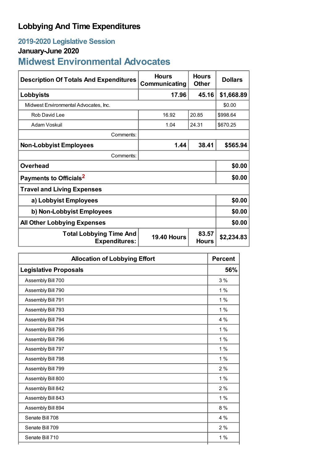# **Lobbying And Time Expenditures**

# **2019-2020 Legislative Session**

### **January-June 2020**

# **Midwest Environmental Advocates**

| <b>Description Of Totals And Expenditures</b>          | <b>Hours</b><br>Communicating | <b>Hours</b><br><b>Other</b> | <b>Dollars</b> |  |  |
|--------------------------------------------------------|-------------------------------|------------------------------|----------------|--|--|
| Lobbyists                                              | 17.96                         | 45.16                        | \$1,668.89     |  |  |
| Midwest Environmental Advocates, Inc.                  |                               |                              | \$0.00         |  |  |
| Rob David Lee                                          | 16.92                         | 20.85                        | \$998.64       |  |  |
| Adam Voskuil                                           | 1.04                          | 24.31                        | \$670.25       |  |  |
| Comments:                                              |                               |                              |                |  |  |
| <b>Non-Lobbyist Employees</b>                          | 1.44                          | 38.41                        | \$565.94       |  |  |
| Comments:                                              |                               |                              |                |  |  |
| <b>Overhead</b>                                        |                               |                              | \$0.00         |  |  |
| Payments to Officials <sup>2</sup>                     |                               |                              | \$0.00         |  |  |
| <b>Travel and Living Expenses</b>                      |                               |                              |                |  |  |
| a) Lobbyist Employees                                  |                               |                              | \$0.00         |  |  |
| b) Non-Lobbyist Employees                              |                               |                              | \$0.00         |  |  |
| <b>All Other Lobbying Expenses</b>                     |                               |                              | \$0.00         |  |  |
| <b>Total Lobbying Time And</b><br><b>Expenditures:</b> | <b>19.40 Hours</b>            | 83.57<br><b>Hours</b>        | \$2,234.83     |  |  |

| <b>Allocation of Lobbying Effort</b> |       |
|--------------------------------------|-------|
| <b>Legislative Proposals</b>         | 56%   |
| Assembly Bill 700                    | 3%    |
| Assembly Bill 790                    | $1\%$ |
| Assembly Bill 791                    | $1\%$ |
| Assembly Bill 793                    | $1\%$ |
| Assembly Bill 794                    | 4 %   |
| Assembly Bill 795                    | $1\%$ |
| Assembly Bill 796                    | 1%    |
| Assembly Bill 797                    | $1\%$ |
| Assembly Bill 798                    | $1\%$ |
| Assembly Bill 799                    | 2%    |
| Assembly Bill 800                    | 1%    |
| Assembly Bill 842                    | 2%    |
| Assembly Bill 843                    | $1\%$ |
| Assembly Bill 894                    | $8\%$ |
| Senate Bill 708                      | $4\%$ |
| Senate Bill 709                      | 2%    |
| Senate Bill 710                      | 1%    |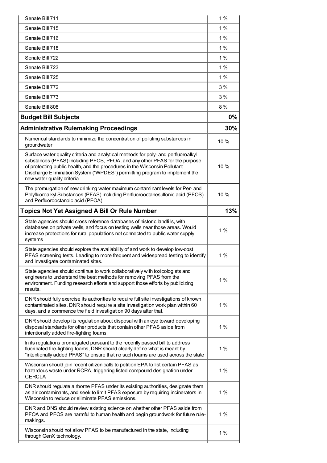| Senate Bill 711                                                                                                                                                                                                                                                                                                                                            | 1%   |
|------------------------------------------------------------------------------------------------------------------------------------------------------------------------------------------------------------------------------------------------------------------------------------------------------------------------------------------------------------|------|
| Senate Bill 715                                                                                                                                                                                                                                                                                                                                            | 1%   |
| Senate Bill 716                                                                                                                                                                                                                                                                                                                                            | 1%   |
| Senate Bill 718                                                                                                                                                                                                                                                                                                                                            | 1%   |
| Senate Bill 722                                                                                                                                                                                                                                                                                                                                            | 1%   |
| Senate Bill 723                                                                                                                                                                                                                                                                                                                                            | 1%   |
| Senate Bill 725                                                                                                                                                                                                                                                                                                                                            | 1%   |
| Senate Bill 772                                                                                                                                                                                                                                                                                                                                            | 3 %  |
| Senate Bill 773                                                                                                                                                                                                                                                                                                                                            | 3%   |
| Senate Bill 808                                                                                                                                                                                                                                                                                                                                            | 8%   |
| <b>Budget Bill Subjects</b>                                                                                                                                                                                                                                                                                                                                | 0%   |
| <b>Administrative Rulemaking Proceedings</b>                                                                                                                                                                                                                                                                                                               | 30%  |
| Numerical standards to minimize the concentration of polluting substances in<br>groundwater                                                                                                                                                                                                                                                                | 10 % |
| Surface water quality criteria and analytical methods for poly- and perfluoroalkyl<br>substances (PFAS) including PFOS, PFOA, and any other PFAS for the purpose<br>of protecting public health, and the procedures in the Wisconsin Pollutant<br>Discharge Elimination System ("WPDES") permitting program to implement the<br>new water quality criteria | 10 % |
| The promulgation of new drinking water maximum contaminant levels for Per- and<br>Polyfluoroalkyl Substances (PFAS) including Perfluorooctanesulfonic acid (PFOS)<br>and Perfluorooctanoic acid (PFOA)                                                                                                                                                     | 10 % |
| <b>Topics Not Yet Assigned A Bill Or Rule Number</b>                                                                                                                                                                                                                                                                                                       | 13%  |
| State agencies should cross reference databases of historic landfills, with<br>databases on private wells, and focus on testing wells near those areas. Would<br>increase protections for rural populations not connected to public water supply<br>systems                                                                                                | 1%   |
| State agencies should explore the availability of and work to develop low-cost<br>PFAS screening tests. Leading to more frequent and widespread testing to identify<br>and investigate contaminated sites.                                                                                                                                                 | 1%   |
| State agencies should continue to work collaboratively with toxicologists and<br>engineers to understand the best methods for removing PFAS from the<br>environment. Funding research efforts and support those efforts by publicizing<br>results.                                                                                                         | 1%   |
| DNR should fully exercise its authorities to require full site investigations of known<br>contaminated sites. DNR should require a site investigation work plan within 60<br>days, and a commence the field investigation 90 days after that.                                                                                                              | 1%   |
| DNR should develop its regulation about disposal with an eye toward developing<br>disposal standards for other products that contain other PFAS aside from<br>intentionally added fire-fighting foams.                                                                                                                                                     | 1%   |
| In its regulations promulgated pursuant to the recently passed bill to address<br>fluorinated fire-fighting foams, DNR should clearly define what is meant by<br>"intentionally added PFAS" to ensure that no such foams are used across the state                                                                                                         | 1%   |
| Wisconsin should join recent citizen calls to petition EPA to list certain PFAS as<br>hazardous waste under RCRA, triggering listed compound designation under<br><b>CERCLA</b>                                                                                                                                                                            | 1%   |
| DNR should regulate airborne PFAS under its existing authorities, designate them<br>as air contaminants, and seek to limit PFAS exposure by requiring incinerators in<br>Wisconsin to reduce or eliminate PFAS emissions.                                                                                                                                  | 1%   |
| DNR and DNS should review existing science on whether other PFAS aside from<br>PFOA and PFOS are harmful to human health and begin groundwork for future rule-<br>makings.                                                                                                                                                                                 | 1%   |
| Wisconsin should not allow PFAS to be manufactured in the state, including<br>through GenX technology.                                                                                                                                                                                                                                                     | 1%   |